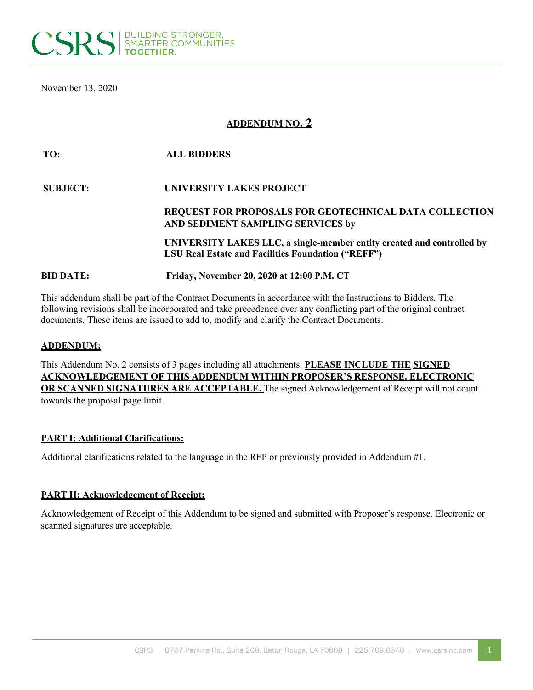

November 13, 2020

# **ADDENDUM NO. 2**

| TO:              | <b>ALL BIDDERS</b>                                                                                                                  |
|------------------|-------------------------------------------------------------------------------------------------------------------------------------|
| <b>SUBJECT:</b>  | UNIVERSITY LAKES PROJECT                                                                                                            |
|                  | <b>REQUEST FOR PROPOSALS FOR GEOTECHNICAL DATA COLLECTION</b><br>AND SEDIMENT SAMPLING SERVICES by                                  |
|                  | UNIVERSITY LAKES LLC, a single-member entity created and controlled by<br><b>LSU Real Estate and Facilities Foundation ("REFF")</b> |
| <b>BID DATE:</b> | Friday, November 20, 2020 at 12:00 P.M. CT                                                                                          |

This addendum shall be part of the Contract Documents in accordance with the Instructions to Bidders. The following revisions shall be incorporated and take precedence over any conflicting part of the original contract documents. These items are issued to add to, modify and clarify the Contract Documents.

### **ADDENDUM:**

This Addendum No. 2 consists of 3 pages including all attachments. **PLEASE INCLUDE THE SIGNED ACKNOWLEDGEMENT OF THIS ADDENDUM WITHIN PROPOSER'S RESPONSE. ELECTRONIC OR SCANNED SIGNATURES ARE ACCEPTABLE.** The signed Acknowledgement of Receipt will not count towards the proposal page limit.

#### **PART I: Additional Clarifications:**

Additional clarifications related to the language in the RFP or previously provided in Addendum #1.

#### **PART II: Acknowledgement of Receipt:**

Acknowledgement of Receipt of this Addendum to be signed and submitted with Proposer's response. Electronic or scanned signatures are acceptable.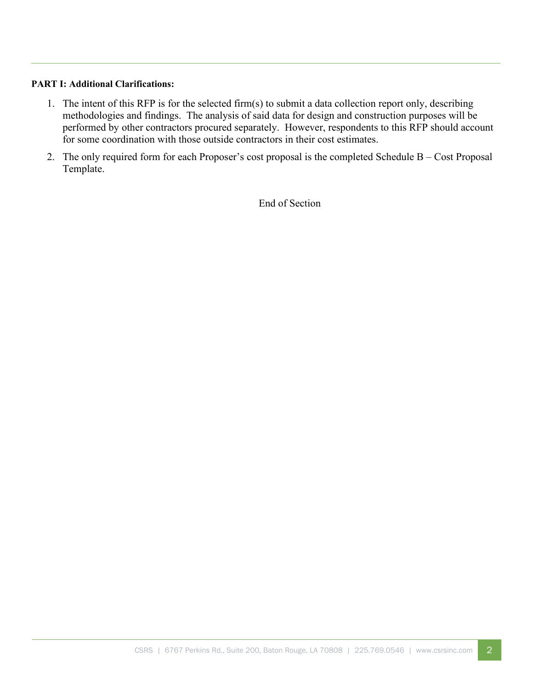# **PART I: Additional Clarifications:**

- 1. The intent of this RFP is for the selected firm(s) to submit a data collection report only, describing methodologies and findings. The analysis of said data for design and construction purposes will be performed by other contractors procured separately. However, respondents to this RFP should account for some coordination with those outside contractors in their cost estimates.
- 2. The only required form for each Proposer's cost proposal is the completed Schedule B Cost Proposal Template.

End of Section